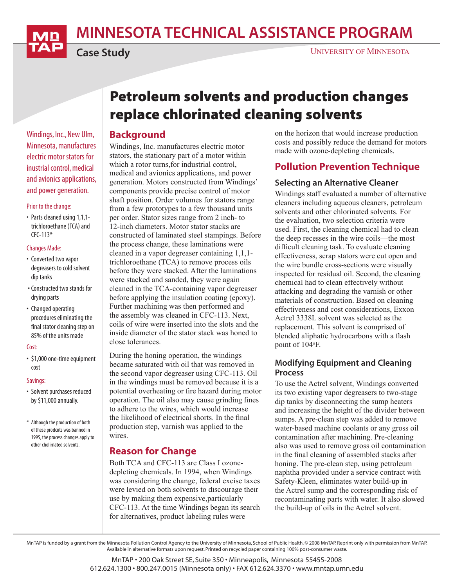MINNESOTA TECHNICAL ASSISTANCE PROGRAM



Case Study

Windings, Inc., New Ulm, Minnesota, manufactures electric motor stators for inustrial control, medical and avionics applications, and power generation.

#### Prior to the change:

• Parts cleaned using 1,1,1 trichloroethane (TCA) and  $CFC-113*$ 

#### Changes Made:

- Converted two vapor degreasers to cold solvent dip tanks
- Constructed two stands for drying parts
- Changed operating procedures eliminating the final stator cleaning step on 85% of the units made

#### Cost:

• \$1,000 one-time equipment cost

#### Savings:

- Solvent purchases reduced by \$11,000 annually.
- \* Although the production of both of these prodcuts was banned in 1995, the process changes apply to other cholirnated solvents.

# Petroleum solvents and production changes replace chlorinated cleaning solvents

#### Background

Windings, Inc. manufactures electric motor stators, the stationary part of a motor within which a rotor turns,for industrial control, medical and avionics applications, and power generation. Motors constructed from Windings' components provide precise control of motor shaft position. Order volumes for stators range from a few prototypes to a few thousand units per order. Stator sizes range from 2 inch- to 12-inch diameters. Motor stator stacks are constructed of laminated steel stampings. Before the process change, these laminations were cleaned in a vapor degreaser containing 1,1,1 trichloroethane (TCA) to remove process oils before they were stacked. After the laminations were stacked and sanded, they were again cleaned in the TCA-containing vapor degreaser before applying the insulation coating (epoxy). Further machining was then performed and the assembly was cleaned in CFC-113. Next, coils of wire were inserted into the slots and the inside diameter of the stator stack was honed to close tolerances.

During the honing operation, the windings became saturated with oil that was removed in the second vapor degreaser using CFC-113. Oil in the windings must be removed because it is a potential overheating or fire hazard during motor operation. The oil also may cause grinding fines to adhere to the wires, which would increase the likelihood of electrical shorts. In the final production step, varnish was applied to the wires.

## Reason for Change

Both TCA and CFC-113 are Class I ozonedepleting chemicals. In 1994, when Windings was considering the change, federal excise taxes were levied on both solvents to discourage their use by making them expensive,particularly CFC-113. At the time Windings began its search for alternatives, product labeling rules were

on the horizon that would increase production costs and possibly reduce the demand for motors made with ozone-depleting chemicals.

## Pollution Prevention Technique

#### Selecting an Alternative Cleaner

Windings staff evaluated a number of alternative cleaners including aqueous cleaners, petroleum solvents and other chlorinated solvents. For the evaluation, two selection criteria were used. First, the cleaning chemical had to clean the deep recesses in the wire coils—the most difficult cleaning task. To evaluate cleaning effectiveness, scrap stators were cut open and the wire bundle cross-sections were visually inspected for residual oil. Second, the cleaning chemical had to clean effectively without attacking and degrading the varnish or other materials of construction. Based on cleaning effectiveness and cost considerations, Exxon Actrel 3338L solvent was selected as the replacement. This solvent is comprised of blended aliphatic hydrocarbons with a flash point of 104°F.

#### Modifying Equipment and Cleaning Process

To use the Actrel solvent, Windings converted its two existing vapor degreasers to two-stage dip tanks by disconnecting the sump heaters and increasing the height of the divider between sumps. A pre-clean step was added to remove water-based machine coolants or any gross oil contamination after machining. Pre-cleaning also was used to remove gross oil contamination in the final cleaning of assembled stacks after honing. The pre-clean step, using petroleum naphtha provided under a service contract with Safety-Kleen, eliminates water build-up in the Actrel sump and the corresponding risk of recontaminating parts with water. It also slowed the build-up of oils in the Actrel solvent.

MnTAP is funded by a grant from the Minnesota Pollution Control Agency to the University of Minnesota, School of Public Health. © 2008 MnTAP. Reprint only with permission from MnTAP. Available in alternative formats upon request. Printed on recycled paper containing 100% post-consumer waste.

> MnTAP • 200 Oak Street SE, Suite 350 • Minneapolis, Minnesota 55455-2008 612.624.1300 • 800.247.0015 (Minnesota only) • FAX 612.624.3370 • www.mntap.umn.edu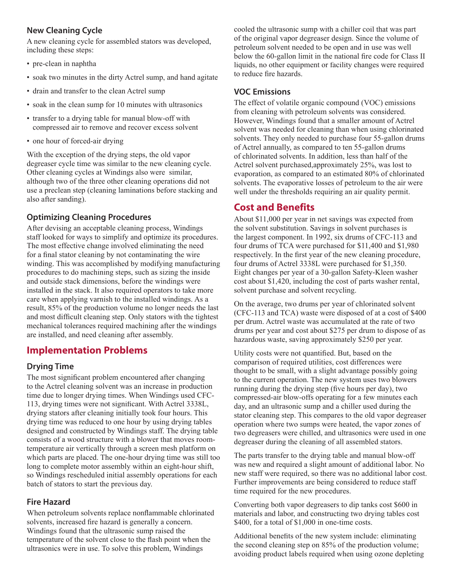#### New Cleaning Cycle

A new cleaning cycle for assembled stators was developed, including these steps:

- pre-clean in naphtha
- soak two minutes in the dirty Actrel sump, and hand agitate
- drain and transfer to the clean Actrel sump
- soak in the clean sump for 10 minutes with ultrasonics
- transfer to a drying table for manual blow-off with compressed air to remove and recover excess solvent
- one hour of forced-air drying

With the exception of the drying steps, the old vapor degreaser cycle time was similar to the new cleaning cycle. Other cleaning cycles at Windings also were similar, although two of the three other cleaning operations did not use a preclean step (cleaning laminations before stacking and also after sanding).

#### Optimizing Cleaning Procedures

After devising an acceptable cleaning process, Windings staff looked for ways to simplify and optimize its procedures. The most effective change involved eliminating the need for a final stator cleaning by not contaminating the wire winding. This was accomplished by modifying manufacturing procedures to do machining steps, such as sizing the inside and outside stack dimensions, before the windings were installed in the stack. It also required operators to take more care when applying varnish to the installed windings. As a result, 85% of the production volume no longer needs the last and most difficult cleaning step. Only stators with the tightest mechanical tolerances required machining after the windings are installed, and need cleaning after assembly.

## Implementation Problems

#### Drying Time

The most significant problem encountered after changing to the Actrel cleaning solvent was an increase in production time due to longer drying times. When Windings used CFC-113, drying times were not significant. With Actrel 3338L, drying stators after cleaning initially took four hours. This drying time was reduced to one hour by using drying tables designed and constructed by Windings staff. The drying table consists of a wood structure with a blower that moves roomtemperature air vertically through a screen mesh platform on which parts are placed. The one-hour drying time was still too long to complete motor assembly within an eight-hour shift, so Windings rescheduled initial assembly operations for each batch of stators to start the previous day.

#### Fire Hazard

When petroleum solvents replace nonflammable chlorinated solvents, increased fire hazard is generally a concern. Windings found that the ultrasonic sump raised the temperature of the solvent close to the flash point when the ultrasonics were in use. To solve this problem, Windings

cooled the ultrasonic sump with a chiller coil that was part of the original vapor degreaser design. Since the volume of petroleum solvent needed to be open and in use was well below the 60-gallon limit in the national fire code for Class II liquids, no other equipment or facility changes were required to reduce fire hazards.

#### VOC Emissions

The effect of volatile organic compound (VOC) emissions from cleaning with petroleum solvents was considered. However, Windings found that a smaller amount of Actrel solvent was needed for cleaning than when using chlorinated solvents. They only needed to purchase four 55-gallon drums of Actrel annually, as compared to ten 55-gallon drums of chlorinated solvents. In addition, less than half of the Actrel solvent purchased,approximately 25%, was lost to evaporation, as compared to an estimated 80% of chlorinated solvents. The evaporative losses of petroleum to the air were well under the thresholds requiring an air quality permit.

## Cost and Benefits

About \$11,000 per year in net savings was expected from the solvent substitution. Savings in solvent purchases is the largest component. In 1992, six drums of CFC-113 and four drums of TCA were purchased for \$11,400 and \$1,980 respectively. In the first year of the new cleaning procedure, four drums of Actrel 3338L were purchased for \$1,350. Eight changes per year of a 30-gallon Safety-Kleen washer cost about \$1,420, including the cost of parts washer rental, solvent purchase and solvent recycling.

On the average, two drums per year of chlorinated solvent (CFC-113 and TCA) waste were disposed of at a cost of \$400 per drum. Actrel waste was accumulated at the rate of two drums per year and cost about \$275 per drum to dispose of as hazardous waste, saving approximately \$250 per year.

Utility costs were not quantified. But, based on the comparison of required utilities, cost differences were thought to be small, with a slight advantage possibly going to the current operation. The new system uses two blowers running during the drying step (five hours per day), two compressed-air blow-offs operating for a few minutes each day, and an ultrasonic sump and a chiller used during the stator cleaning step. This compares to the old vapor degreaser operation where two sumps were heated, the vapor zones of two degreasers were chilled, and ultrasonics were used in one degreaser during the cleaning of all assembled stators.

The parts transfer to the drying table and manual blow-off was new and required a slight amount of additional labor. No new staff were required, so there was no additional labor cost. Further improvements are being considered to reduce staff time required for the new procedures.

Converting both vapor degreasers to dip tanks cost \$600 in materials and labor, and constructing two drying tables cost \$400, for a total of \$1,000 in one-time costs.

Additional benefits of the new system include: eliminating the second cleaning step on 85% of the production volume; avoiding product labels required when using ozone depleting